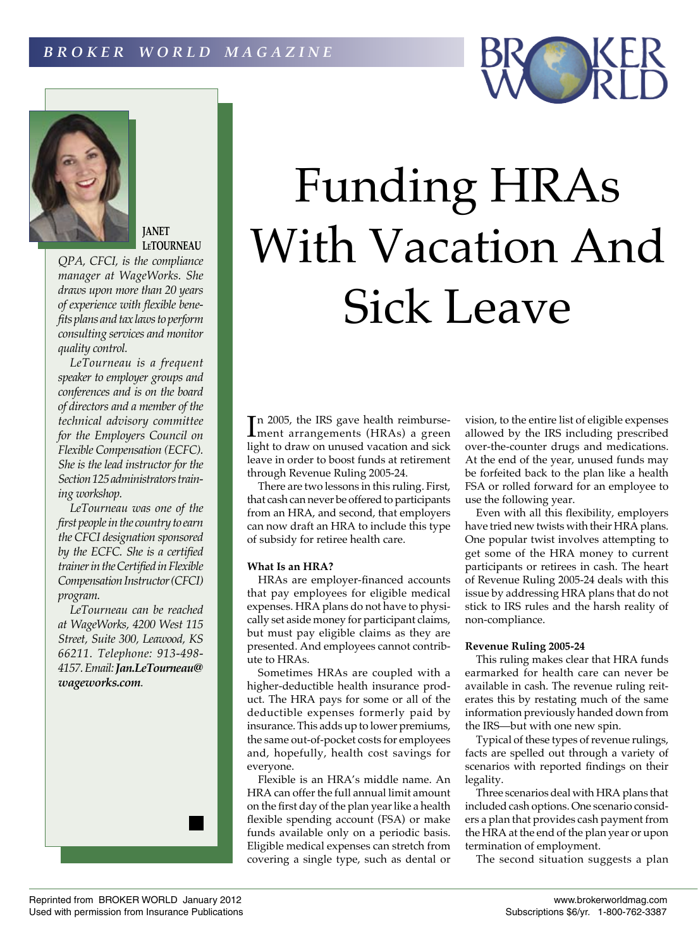



# **JANET LeTOURNEAU**

*QPA, CFCI, is the compliance manager at WageWorks. She draws upon more than 20 years of experience with flexible benefits plans and tax laws to perform consulting services and monitor quality control.*

*LeTourneau is a frequent speaker to employer groups and conferences and is on the board of directors and a member of the technical advisory committee for the Employers Council on Flexible Compensation (ECFC). She is the lead instructor for the Section 125 administrators training workshop.*

*LeTourneau was one of the first people in the country to earn the CFCI designation sponsored by the ECFC. She is a certified trainer in the Certified in Flexible Compensation Instructor (CFCI) program.*

*LeTourneau can be reached at WageWorks, 4200 West 115 Street, Suite 300, Leawood, KS 66211. Telephone: 913-498- 4157. Email: Jan.LeTourneau@ wageworks.com.*



In 2005, the IRS gave health reimburse-<br>
Iment arrangements (HRAs) a green ment arrangements (HRAs) a green light to draw on unused vacation and sick leave in order to boost funds at retirement through Revenue Ruling 2005-24.

There are two lessons in this ruling. First, that cash can never be offered to participants from an HRA, and second, that employers can now draft an HRA to include this type of subsidy for retiree health care.

# **What Is an HRA?**

HRAs are employer-financed accounts that pay employees for eligible medical expenses. HRA plans do not have to physically set aside money for participant claims, but must pay eligible claims as they are presented. And employees cannot contribute to HRAs.

Sometimes HRAs are coupled with a higher-deductible health insurance product. The HRA pays for some or all of the deductible expenses formerly paid by insurance. This adds up to lower premiums, the same out-of-pocket costs for employees and, hopefully, health cost savings for everyone.

Flexible is an HRA's middle name. An HRA can offer the full annual limit amount on the first day of the plan year like a health flexible spending account (FSA) or make funds available only on a periodic basis. Eligible medical expenses can stretch from covering a single type, such as dental or

vision, to the entire list of eligible expenses allowed by the IRS including prescribed over-the-counter drugs and medications. At the end of the year, unused funds may be forfeited back to the plan like a health FSA or rolled forward for an employee to use the following year.

Even with all this flexibility, employers have tried new twists with their HRA plans. One popular twist involves attempting to get some of the HRA money to current participants or retirees in cash. The heart of Revenue Ruling 2005-24 deals with this issue by addressing HRA plans that do not stick to IRS rules and the harsh reality of non-compliance.

# **Revenue Ruling 2005-24**

This ruling makes clear that HRA funds earmarked for health care can never be available in cash. The revenue ruling reiterates this by restating much of the same information previously handed down from the IRS—but with one new spin.

Typical of these types of revenue rulings, facts are spelled out through a variety of scenarios with reported findings on their legality.

Three scenarios deal with HRA plans that included cash options. One scenario considers a plan that provides cash payment from the HRA at the end of the plan year or upon termination of employment.

The second situation suggests a plan